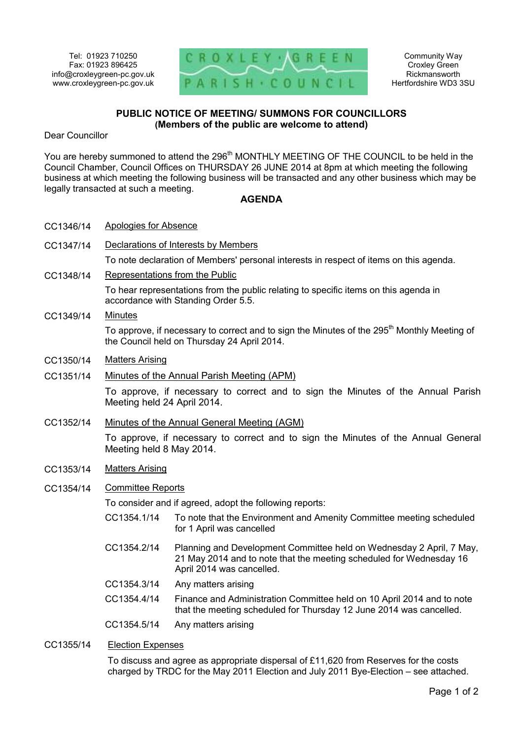

## **PUBLIC NOTICE OF MEETING/ SUMMONS FOR COUNCILLORS (Members of the public are welcome to attend)**

Dear Councillor

You are hereby summoned to attend the 296<sup>th</sup> MONTHLY MEETING OF THE COUNCIL to be held in the Council Chamber, Council Offices on THURSDAY 26 JUNE 2014 at 8pm at which meeting the following business at which meeting the following business will be transacted and any other business which may be legally transacted at such a meeting.

## **AGENDA**

- CC1346/14 Apologies for Absence
- CC1347/14 Declarations of Interests by Members

To note declaration of Members' personal interests in respect of items on this agenda.

CC1348/14 Representations from the Public

To hear representations from the public relating to specific items on this agenda in accordance with Standing Order 5.5.

## CC1349/14 Minutes

To approve, if necessary to correct and to sign the Minutes of the 295<sup>th</sup> Monthly Meeting of the Council held on Thursday 24 April 2014.

- CC1350/14 Matters Arising
- CC1351/14 Minutes of the Annual Parish Meeting (APM)

To approve, if necessary to correct and to sign the Minutes of the Annual Parish Meeting held 24 April 2014.

CC1352/14 Minutes of the Annual General Meeting (AGM)

To approve, if necessary to correct and to sign the Minutes of the Annual General Meeting held 8 May 2014.

- CC1353/14 Matters Arising
- CC1354/14 Committee Reports

To consider and if agreed, adopt the following reports:

- CC1354.1/14 To note that the Environment and Amenity Committee meeting scheduled for 1 April was cancelled
- CC1354.2/14 Planning and Development Committee held on Wednesday 2 April, 7 May, 21 May 2014 and to note that the meeting scheduled for Wednesday 16 April 2014 was cancelled.
- CC1354.3/14 Any matters arising
- CC1354.4/14 Finance and Administration Committee held on 10 April 2014 and to note that the meeting scheduled for Thursday 12 June 2014 was cancelled.
- CC1354.5/14 Any matters arising
- CC1355/14 Election Expenses

To discuss and agree as appropriate dispersal of £11,620 from Reserves for the costs charged by TRDC for the May 2011 Election and July 2011 Bye-Election – see attached.